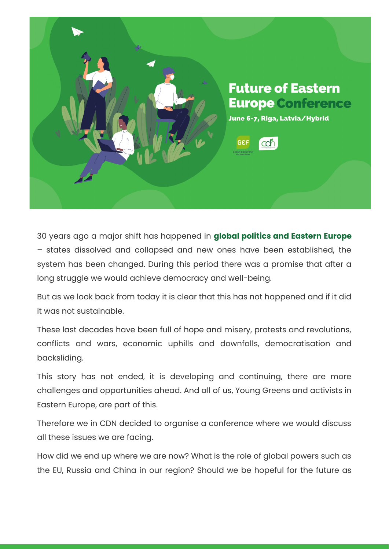

30 years ago a major shift has happened in **global politics and Eastern Europe** – states dissolved and collapsed and new ones have been established, the system has been changed. During this period there was a promise that after a long struggle we would achieve democracy and well-being.

But as we look back from today it is clear that this has not happened and if it did it was not sustainable.

These last decades have been full of hope and misery, protests and revolutions, conflicts and wars, economic uphills and downfalls, democratisation and backsliding.

This story has not ended, it is developing and continuing, there are more challenges and opportunities ahead. And all of us, Young Greens and activists in Eastern Europe, are part of this.

Therefore we in CDN decided to organise a conference where we would discuss all these issues we are facing.

How did we end up where we are now? What is the role of global powers such as the EU, Russia and China in our region? Should we be hopeful for the future as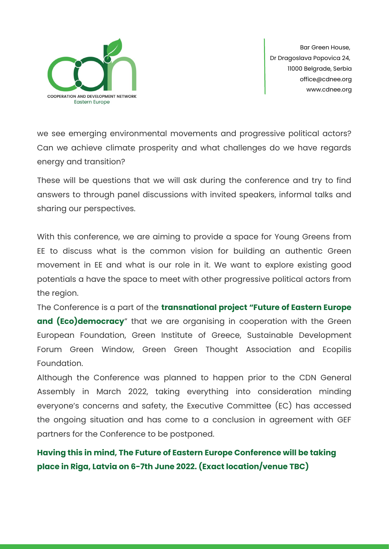

we see emerging environmental movements and progressive political actors? Can we achieve climate prosperity and what challenges do we have regards energy and transition?

These will be questions that we will ask during the conference and try to find answers to through panel discussions with invited speakers, informal talks and sharing our perspectives.

With this conference, we are aiming to provide a space for Young Greens from EE to discuss what is the common vision for building an authentic Green movement in EE and what is our role in it. We want to explore existing good potentials a have the space to meet with other progressive political actors from the region.

The Conference is a part of the **transnational project "Future of Eastern Europe and (Eco)democracy**" that we are organising in cooperation with the Green European Foundation, Green Institute of Greece, Sustainable Development Forum Green Window, Green Green Thought Association and Ecopilis Foundation.

Although the Conference was planned to happen prior to the CDN General Assembly in March 2022, taking everything into consideration minding everyone's concerns and safety, the Executive Committee (EC) has accessed the ongoing situation and has come to a conclusion in agreement with GEF partners for the Conference to be postponed.

**Having this in mind, The Future of Eastern Europe Conference will be taking place in Riga, Latvia on 6-7th June 2022. (Exact location/venue TBC)**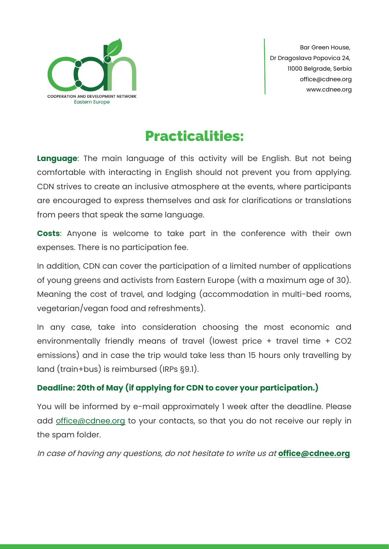

# Practicalities:

**Language**: The main language of this activity will be English. But not being comfortable with interacting in English should not prevent you from applying. CDN strives to create an inclusive atmosphere at the events, where participants are encouraged to express themselves and ask for clarifications or translations from peers that speak the same language.

**Costs**: Anyone is welcome to take part in the conference with their own expenses. There is no participation fee.

In addition, CDN can cover the participation of a limited number of applications of young greens and activists from Eastern Europe (with a maximum age of 30). Meaning the cost of travel, and lodging (accommodation in multi-bed rooms, vegetarian/vegan food and refreshments).

In any case, take into consideration choosing the most economic and environmentally friendly means of travel (lowest price + travel time + CO2 emissions) and in case the trip would take less than 15 hours only travelling by land (train+bus) is reimbursed (IRPs §9.1).

### **Deadline: 20th of May (if applying for CDN to cover your participation.)**

You will be informed by e-mail approximately 1 week after the deadline. Please add [office@cdnee.org](mailto:office@cdnee.org) to your contacts, so that you do not receive our reply in the spam folder.

In case of having any questions, do not hesitate to write us at **[office@cdnee.org](mailto:office@cdnee.org)**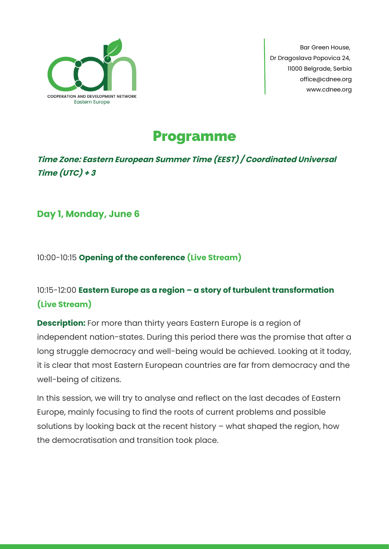

# Programme

## **Time Zone: Eastern European Summer Time (EEST) / Coordinated Universal Time (UTC) + 3**

**Day 1, Monday, June 6**

10:00-10:15 **Opening of the conference (Live Stream)**

## 10:15-12:00 **Eastern Europe as a region – a story of turbulent transformation (Live Stream)**

**Description:** For more than thirty years Eastern Europe is a region of independent nation-states. During this period there was the promise that after a long struggle democracy and well-being would be achieved. Looking at it today, it is clear that most Eastern European countries are far from democracy and the well-being of citizens.

In this session, we will try to analyse and reflect on the last decades of Eastern Europe, mainly focusing to find the roots of current problems and possible solutions by looking back at the recent history – what shaped the region, how the democratisation and transition took place.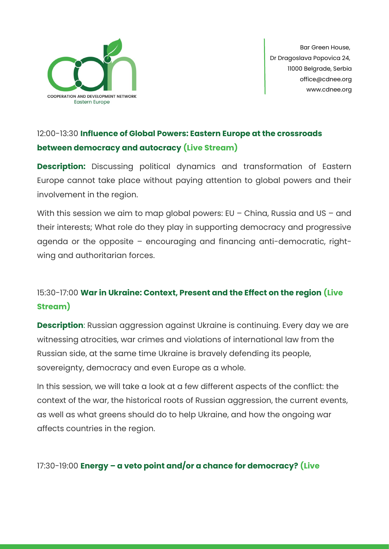

## 12:00-13:30 **Influence of Global Powers: Eastern Europe at the crossroads between democracy and autocracy (Live Stream)**

**Description:** Discussing political dynamics and transformation of Eastern Europe cannot take place without paying attention to global powers and their involvement in the region.

With this session we aim to map global powers: EU - China, Russia and US - and their interests; What role do they play in supporting democracy and progressive agenda or the opposite – encouraging and financing anti-democratic, rightwing and authoritarian forces.

## 15:30-17:00 **War in Ukraine: Context, Present and the Effect on the region (Live Stream)**

**Description**: Russian aggression against Ukraine is continuing. Every day we are witnessing atrocities, war crimes and violations of international law from the Russian side, at the same time Ukraine is bravely defending its people, sovereignty, democracy and even Europe as a whole.

In this session, we will take a look at a few different aspects of the conflict: the context of the war, the historical roots of Russian aggression, the current events, as well as what greens should do to help Ukraine, and how the ongoing war affects countries in the region.

17:30-19:00 **Energy – a veto point and/or a chance for democracy? (Live**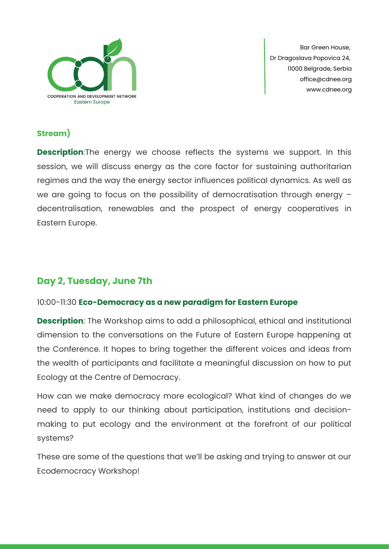

### **Stream)**

**Description:**The energy we choose reflects the systems we support. In this session, we will discuss energy as the core factor for sustaining authoritarian regimes and the way the energy sector influences political dynamics. As well as we are going to focus on the possibility of democratisation through energy – decentralisation, renewables and the prospect of energy cooperatives in Eastern Europe.

## **Day 2, Tuesday, June 7th**

### 10:00-11:30 **Eco-Democracy as a new paradigm for Eastern Europe**

**Description**: The Workshop aims to add a philosophical, ethical and institutional dimension to the conversations on the Future of Eastern Europe happening at the Conference. It hopes to bring together the different voices and ideas from the wealth of participants and facilitate a meaningful discussion on how to put Ecology at the Centre of Democracy.

How can we make democracy more ecological? What kind of changes do we need to apply to our thinking about participation, institutions and decisionmaking to put ecology and the environment at the forefront of our political systems?

These are some of the questions that we'll be asking and trying to answer at our Ecodemocracy Workshop!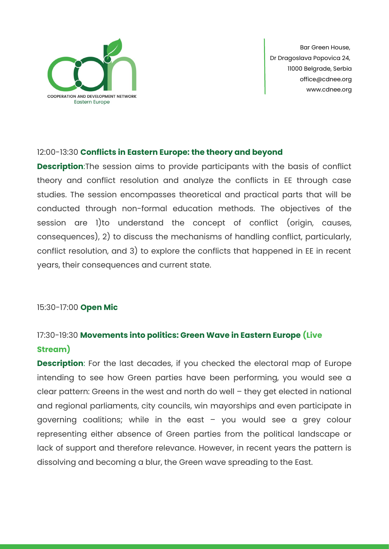

#### 12:00-13:30 **Conflicts in Eastern Europe: the theory and beyond**

**Description**:The session aims to provide participants with the basis of conflict theory and conflict resolution and analyze the conflicts in EE through case studies. The session encompasses theoretical and practical parts that will be conducted through non-formal education methods. The objectives of the session are 1)to understand the concept of conflict (origin, causes, consequences), 2) to discuss the mechanisms of handling conflict, particularly, conflict resolution, and 3) to explore the conflicts that happened in EE in recent years, their consequences and current state.

#### 15:30-17:00 **Open Mic**

## 17:30-19:30 **Movements into politics: Green Wave in Eastern Europe (Live Stream)**

**Description**: For the last decades, if you checked the electoral map of Europe intending to see how Green parties have been performing, you would see a clear pattern: Greens in the west and north do well – they get elected in national and regional parliaments, city councils, win mayorships and even participate in governing coalitions; while in the east – you would see a grey colour representing either absence of Green parties from the political landscape or lack of support and therefore relevance. However, in recent years the pattern is dissolving and becoming a blur, the Green wave spreading to the East.